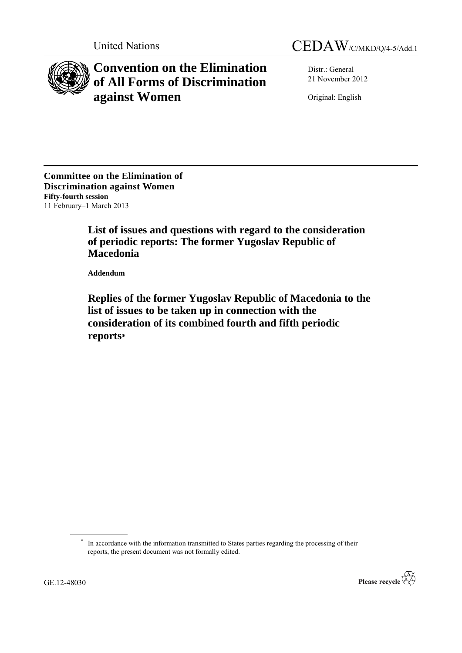



**Convention on the Elimination of All Forms of Discrimination against Women**

Distr.: General 21 November 2012

Original: English

**Committee on the Elimination of Discrimination against Women Fifty-fourth session** 11 February–1 March 2013

> **List of issues and questions with regard to the consideration of periodic reports: The former Yugoslav Republic of Macedonia**

**Addendum**

**Replies of the former Yugoslav Republic of Macedonia to the list of issues to be taken up in connection with the consideration of its combined fourth and fifth periodic reports\***

<sup>\*</sup> In accordance with the information transmitted to States parties regarding the processing of their reports, the present document was not formally edited.

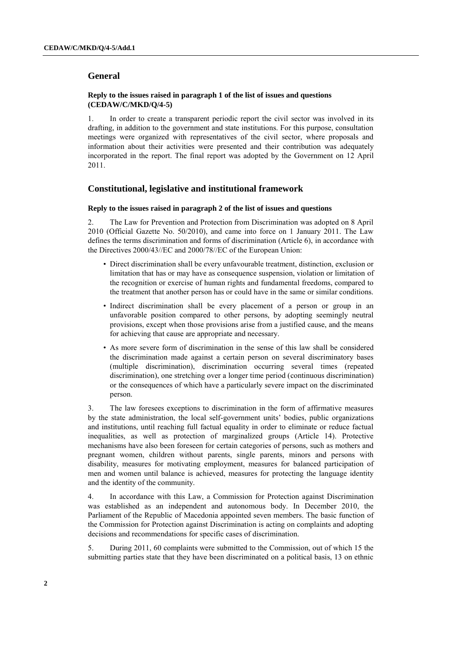# **General**

### **Reply to the issues raised in paragraph 1 of the list of issues and questions (CEDAW/C/MKD/Q/4-5)**

1. In order to create a transparent periodic report the civil sector was involved in its drafting, in addition to the government and state institutions. For this purpose, consultation meetings were organized with representatives of the civil sector, where proposals and information about their activities were presented and their contribution was adequately incorporated in the report. The final report was adopted by the Government on 12 April 2011.

# **Constitutional, legislative and institutional framework**

### **Reply to the issues raised in paragraph 2 of the list of issues and questions**

2. The Law for Prevention and Protection from Discrimination was adopted on 8 April 2010 (Official Gazette No. 50/2010), and came into force on 1 January 2011. The Law defines the terms discrimination and forms of discrimination (Article 6), in accordance with the Directives 2000/43//ЕC and 2000/78//ЕC of the European Union:

- Direct discrimination shall be every unfavourable treatment, distinction, exclusion or limitation that has or may have as consequence suspension, violation or limitation of the recognition or exercise of human rights and fundamental freedoms, compared to the treatment that another person has or could have in the same or similar conditions.
- Indirect discrimination shall be every placement of a person or group in an unfavorable position compared to other persons, by adopting seemingly neutral provisions, except when those provisions arise from a justified cause, and the means for achieving that cause are appropriate and necessary.
- As more severe form of discrimination in the sense of this law shall be considered the discrimination made against a certain person on several discriminatory bases (multiple discrimination), discrimination occurring several times (repeated discrimination), one stretching over a longer time period (continuous discrimination) or the consequences of which have a particularly severe impact on the discriminated person.

3. The law foresees exceptions to discrimination in the form of affirmative measures by the state administration, the local self-government units' bodies, public organizations and institutions, until reaching full factual equality in order to eliminate or reduce factual inequalities, as well as protection of marginalized groups (Article 14). Protective mechanisms have also been foreseen for certain categories of persons, such as mothers and pregnant women, children without parents, single parents, minors and persons with disability, measures for motivating employment, measures for balanced participation of men and women until balance is achieved, measures for protecting the language identity and the identity of the community.

4. In accordance with this Law, a Commission for Protection against Discrimination was established as an independent and autonomous body. In December 2010, the Parliament of the Republic of Macedonia appointed seven members. The basic function of the Commission for Protection against Discrimination is acting on complaints and adopting decisions and recommendations for specific cases of discrimination.

5. During 2011, 60 complaints were submitted to the Commission, out of which 15 the submitting parties state that they have been discriminated on a political basis, 13 on ethnic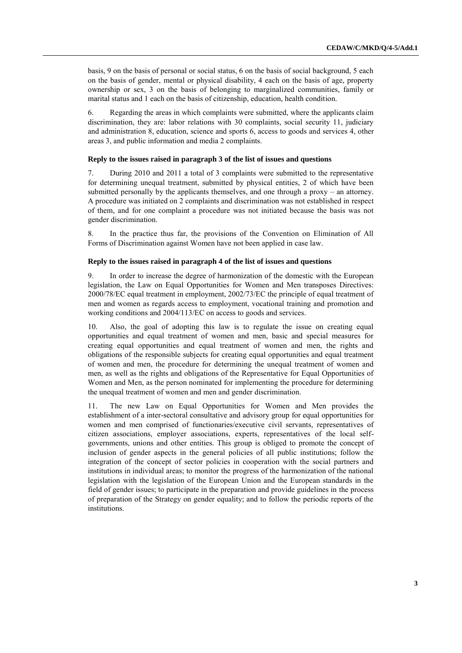basis, 9 on the basis of personal or social status, 6 on the basis of social background, 5 each on the basis of gender, mental or physical disability, 4 each on the basis of age, property ownership or sex, 3 on the basis of belonging to marginalized communities, family or marital status and 1 each on the basis of citizenship, education, health condition.

6. Regarding the areas in which complaints were submitted, where the applicants claim discrimination, they are: labor relations with 30 complaints, social security 11, judiciary and administration 8, education, science and sports 6, access to goods and services 4, other areas 3, and public information and media 2 complaints.

## **Reply to the issues raised in paragraph 3 of the list of issues and questions**

7. During 2010 and 2011 a total of 3 complaints were submitted to the representative for determining unequal treatment, submitted by physical entities, 2 of which have been submitted personally by the applicants themselves, and one through a proxy – an attorney. A procedure was initiated on 2 complaints and discrimination was not established in respect of them, and for one complaint a procedure was not initiated because the basis was not gender discrimination.

8. In the practice thus far, the provisions of the Convention on Elimination of All Forms of Discrimination against Women have not been applied in case law.

## **Reply to the issues raised in paragraph 4 of the list of issues and questions**

9. In order to increase the degree of harmonization of the domestic with the European legislation, the Law on Equal Opportunities for Women and Men transposes Directives: 2000/78/EC equal treatment in employment, 2002/73/EC the principle of equal treatment of men and women as regards access to employment, vocational training and promotion and working conditions and 2004/113/EC on access to goods and services.

10. Also, the goal of adopting this law is to regulate the issue on creating equal opportunities and equal treatment of women and men, basic and special measures for creating equal opportunities and equal treatment of women and men, the rights and obligations of the responsible subjects for creating equal opportunities and equal treatment of women and men, the procedure for determining the unequal treatment of women and men, as well as the rights and obligations of the Representative for Equal Opportunities of Women and Men, as the person nominated for implementing the procedure for determining the unequal treatment of women and men and gender discrimination.

11. The new Law on Equal Opportunities for Women and Men provides the establishment of a inter-sectoral consultative and advisory group for equal opportunities for women and men comprised of functionaries/executive civil servants, representatives of citizen associations, employer associations, experts, representatives of the local selfgovernments, unions and other entities. This group is obliged to promote the concept of inclusion of gender aspects in the general policies of all public institutions; follow the integration of the concept of sector policies in cooperation with the social partners and institutions in individual areas; to monitor the progress of the harmonization of the national legislation with the legislation of the European Union and the European standards in the field of gender issues; to participate in the preparation and provide guidelines in the process of preparation of the Strategy on gender equality; and to follow the periodic reports of the institutions.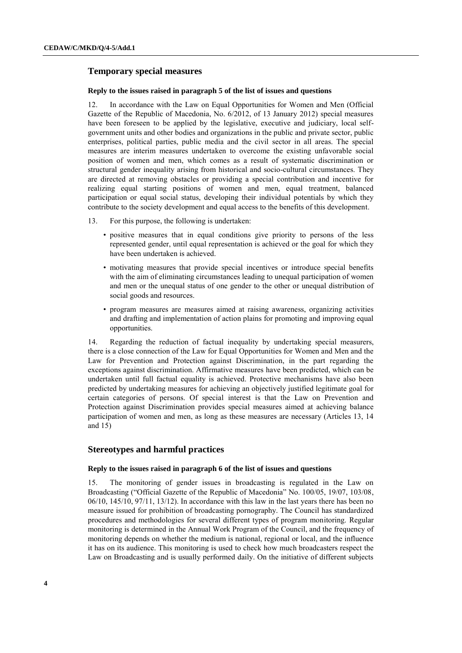## **Temporary special measures**

#### **Reply to the issues raised in paragraph 5 of the list of issues and questions**

12. In accordance with the Law on Equal Opportunities for Women and Men (Official Gazette of the Republic of Macedonia, No. 6/2012, of 13 January 2012) special measures have been foreseen to be applied by the legislative, executive and judiciary, local selfgovernment units and other bodies and organizations in the public and private sector, public enterprises, political parties, public media and the civil sector in all areas. The special measures are interim measures undertaken to overcome the existing unfavorable social position of women and men, which comes as a result of systematic discrimination or structural gender inequality arising from historical and socio-cultural circumstances. They are directed at removing obstacles or providing a special contribution and incentive for realizing equal starting positions of women and men, equal treatment, balanced participation or equal social status, developing their individual potentials by which they contribute to the society development and equal access to the benefits of this development.

- 13. For this purpose, the following is undertaken:
	- positive measures that in equal conditions give priority to persons of the less represented gender, until equal representation is achieved or the goal for which they have been undertaken is achieved.
	- motivating measures that provide special incentives or introduce special benefits with the aim of eliminating circumstances leading to unequal participation of women and men or the unequal status of one gender to the other or unequal distribution of social goods and resources.
	- program measures are measures aimed at raising awareness, organizing activities and drafting and implementation of action plains for promoting and improving equal opportunities.

14. Regarding the reduction of factual inequality by undertaking special measurers, there is a close connection of the Law for Equal Opportunities for Women and Men and the Law for Prevention and Protection against Discrimination, in the part regarding the exceptions against discrimination. Affirmative measures have been predicted, which can be undertaken until full factual equality is achieved. Protective mechanisms have also been predicted by undertaking measures for achieving an objectively justified legitimate goal for certain categories of persons. Of special interest is that the Law on Prevention and Protection against Discrimination provides special measures aimed at achieving balance participation of women and men, as long as these measures are necessary (Articles 13, 14 and 15)

# **Stereotypes and harmful practices**

### **Reply to the issues raised in paragraph 6 of the list of issues and questions**

15. The monitoring of gender issues in broadcasting is regulated in the Law on Broadcasting ("Official Gazette of the Republic of Macedonia" No. 100/05, 19/07, 103/08, 06/10, 145/10, 97/11, 13/12). In accordance with this law in the last years there has been no measure issued for prohibition of broadcasting pornography. The Council has standardized procedures and methodologies for several different types of program monitoring. Regular monitoring is determined in the Annual Work Program of the Council, and the frequency of monitoring depends on whether the medium is national, regional or local, and the influence it has on its audience. This monitoring is used to check how much broadcasters respect the Law on Broadcasting and is usually performed daily. On the initiative of different subjects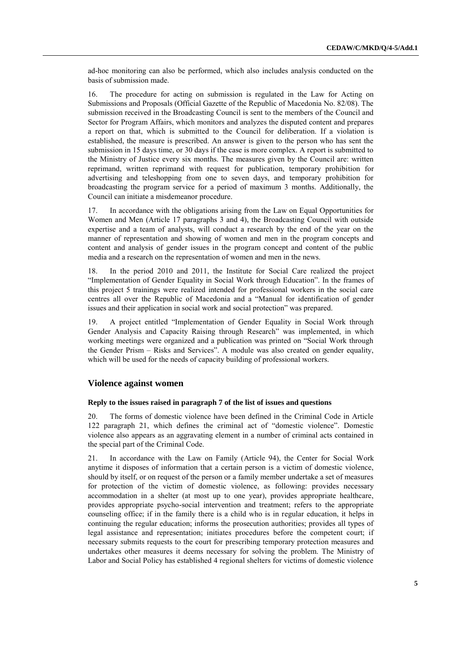ad-hoc monitoring can also be performed, which also includes analysis conducted on the basis of submission made.

16. The procedure for acting on submission is regulated in the Law for Acting on Submissions and Proposals (Official Gazette of the Republic of Macedonia No. 82/08). The submission received in the Broadcasting Council is sent to the members of the Council and Sector for Program Affairs, which monitors and analyzes the disputed content and prepares a report on that, which is submitted to the Council for deliberation. If a violation is established, the measure is prescribed. An answer is given to the person who has sent the submission in 15 days time, or 30 days if the case is more complex. A report is submitted to the Ministry of Justice every six months. The measures given by the Council are: written reprimand, written reprimand with request for publication, temporary prohibition for advertising and teleshopping from one to seven days, and temporary prohibition for broadcasting the program service for a period of maximum 3 months. Additionally, the Council can initiate a misdemeanor procedure.

17. In accordance with the obligations arising from the Law on Equal Opportunities for Women and Men (Article 17 paragraphs 3 and 4), the Broadcasting Council with outside expertise and a team of analysts, will conduct a research by the end of the year on the manner of representation and showing of women and men in the program concepts and content and analysis of gender issues in the program concept and content of the public media and a research on the representation of women and men in the news.

18. In the period 2010 and 2011, the Institute for Social Care realized the project "Implementation of Gender Equality in Social Work through Education". In the frames of this project 5 trainings were realized intended for professional workers in the social care centres all over the Republic of Macedonia and a "Manual for identification of gender issues and their application in social work and social protection" was prepared.

19. A project entitled "Implementation of Gender Equality in Social Work through Gender Analysis and Capacity Raising through Research" was implemented, in which working meetings were organized and a publication was printed on "Social Work through the Gender Prism – Risks and Services". A module was also created on gender equality, which will be used for the needs of capacity building of professional workers.

### **Violence against women**

### **Reply to the issues raised in paragraph 7 of the list of issues and questions**

20. The forms of domestic violence have been defined in the Criminal Code in Article 122 paragraph 21, which defines the criminal act of "domestic violence". Domestic violence also appears as an aggravating element in a number of criminal acts contained in the special part of the Criminal Code.

21. In accordance with the Law on Family (Article 94), the Center for Social Work anytime it disposes of information that a certain person is a victim of domestic violence, should by itself, or on request of the person or a family member undertake a set of measures for protection of the victim of domestic violence, as following: provides necessary accommodation in a shelter (at most up to one year), provides appropriate healthcare, provides appropriate psycho-social intervention and treatment; refers to the appropriate counseling office; if in the family there is a child who is in regular education, it helps in continuing the regular education; informs the prosecution authorities; provides all types of legal assistance and representation; initiates procedures before the competent court; if necessary submits requests to the court for prescribing temporary protection measures and undertakes other measures it deems necessary for solving the problem. The Ministry of Labor and Social Policy has established 4 regional shelters for victims of domestic violence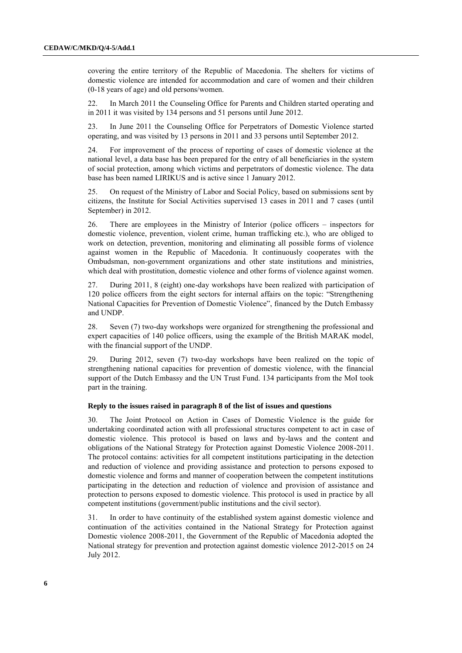covering the entire territory of the Republic of Macedonia. The shelters for victims of domestic violence are intended for accommodation and care of women and their children (0-18 years of age) and old persons/women.

22. In March 2011 the Counseling Office for Parents and Children started operating and in 2011 it was visited by 134 persons and 51 persons until June 2012.

23. In June 2011 the Counseling Office for Perpetrators of Domestic Violence started operating, and was visited by 13 persons in 2011 and 33 persons until September 2012.

24. For improvement of the process of reporting of cases of domestic violence at the national level, a data base has been prepared for the entry of all beneficiaries in the system of social protection, among which victims and perpetrators of domestic violence. The data base has been named LIRIKUS and is active since 1 January 2012.

25. On request of the Ministry of Labor and Social Policy, based on submissions sent by citizens, the Institute for Social Activities supervised 13 cases in 2011 and 7 cases (until September) in 2012.

26. There are employees in the Ministry of Interior (police officers – inspectors for domestic violence, prevention, violent crime, human trafficking etc.), who are obliged to work on detection, prevention, monitoring and eliminating all possible forms of violence against women in the Republic of Macedonia. It continuously cooperates with the Ombudsman, non-government organizations and other state institutions and ministries, which deal with prostitution, domestic violence and other forms of violence against women.

27. During 2011, 8 (eight) one-day workshops have been realized with participation of 120 police officers from the eight sectors for internal affairs on the topic: "Strengthening National Capacities for Prevention of Domestic Violence", financed by the Dutch Embassy and UNDP.

28. Seven (7) two-day workshops were organized for strengthening the professional and expert capacities of 140 police officers, using the example of the British MARAK model, with the financial support of the UNDP.

29. During 2012, seven (7) two-day workshops have been realized on the topic of strengthening national capacities for prevention of domestic violence, with the financial support of the Dutch Embassy and the UN Trust Fund. 134 participants from the MoI took part in the training.

### **Reply to the issues raised in paragraph 8 of the list of issues and questions**

30. The Joint Protocol on Action in Cases of Domestic Violence is the guide for undertaking coordinated action with all professional structures competent to act in case of domestic violence. This protocol is based on laws and by-laws and the content and obligations of the National Strategy for Protection against Domestic Violence 2008-2011. The protocol contains: activities for all competent institutions participating in the detection and reduction of violence and providing assistance and protection to persons exposed to domestic violence and forms and manner of cooperation between the competent institutions participating in the detection and reduction of violence and provision of assistance and protection to persons exposed to domestic violence. This protocol is used in practice by all competent institutions (government/public institutions and the civil sector).

31. In order to have continuity of the established system against domestic violence and continuation of the activities contained in the National Strategy for Protection against Domestic violence 2008-2011, the Government of the Republic of Macedonia adopted the National strategy for prevention and protection against domestic violence 2012-2015 on 24 July 2012.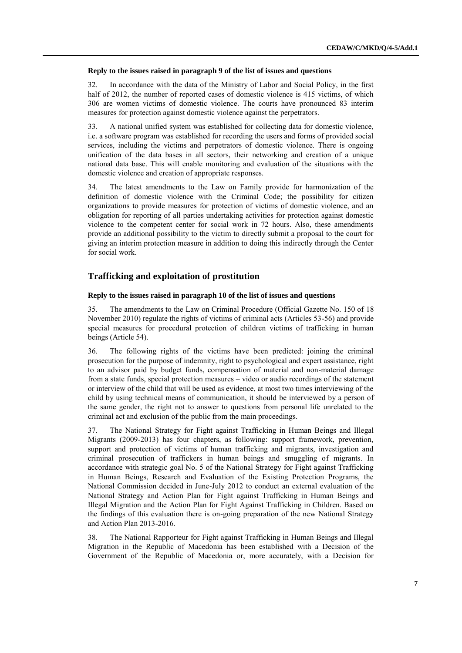#### **Reply to the issues raised in paragraph 9 of the list of issues and questions**

32. In accordance with the data of the Ministry of Labor and Social Policy, in the first half of 2012, the number of reported cases of domestic violence is 415 victims, of which 306 are women victims of domestic violence. The courts have pronounced 83 interim measures for protection against domestic violence against the perpetrators.

33. A national unified system was established for collecting data for domestic violence, i.e. a software program was established for recording the users and forms of provided social services, including the victims and perpetrators of domestic violence. There is ongoing unification of the data bases in all sectors, their networking and creation of a unique national data base. This will enable monitoring and evaluation of the situations with the domestic violence and creation of appropriate responses.

34. The latest amendments to the Law on Family provide for harmonization of the definition of domestic violence with the Criminal Code; the possibility for citizen organizations to provide measures for protection of victims of domestic violence, and an obligation for reporting of all parties undertaking activities for protection against domestic violence to the competent center for social work in 72 hours. Also, these amendments provide an additional possibility to the victim to directly submit a proposal to the court for giving an interim protection measure in addition to doing this indirectly through the Center for social work.

# **Trafficking and exploitation of prostitution**

#### **Reply to the issues raised in paragraph 10 of the list of issues and questions**

35. The amendments to the Law on Criminal Procedure (Official Gazette No. 150 of 18 November 2010) regulate the rights of victims of criminal acts (Articles 53-56) and provide special measures for procedural protection of children victims of trafficking in human beings (Article 54).

36. The following rights of the victims have been predicted: joining the criminal prosecution for the purpose of indemnity, right to psychological and expert assistance, right to an advisor paid by budget funds, compensation of material and non-material damage from a state funds, special protection measures – video or audio recordings of the statement or interview of the child that will be used as evidence, at most two times interviewing of the child by using technical means of communication, it should be interviewed by a person of the same gender, the right not to answer to questions from personal life unrelated to the criminal act and exclusion of the public from the main proceedings.

37. The National Strategy for Fight against Trafficking in Human Beings and Illegal Migrants (2009-2013) has four chapters, as following: support framework, prevention, support and protection of victims of human trafficking and migrants, investigation and criminal prosecution of traffickers in human beings and smuggling of migrants. In accordance with strategic goal No. 5 of the National Strategy for Fight against Trafficking in Human Beings, Research and Evaluation of the Existing Protection Programs, the National Commission decided in June-July 2012 to conduct an external evaluation of the National Strategy and Action Plan for Fight against Trafficking in Human Beings and Illegal Migration and the Action Plan for Fight Against Trafficking in Children. Based on the findings of this evaluation there is on-going preparation of the new National Strategy and Action Plan 2013-2016.

38. The National Rapporteur for Fight against Trafficking in Human Beings and Illegal Migration in the Republic of Macedonia has been established with a Decision of the Government of the Republic of Macedonia or, more accurately, with a Decision for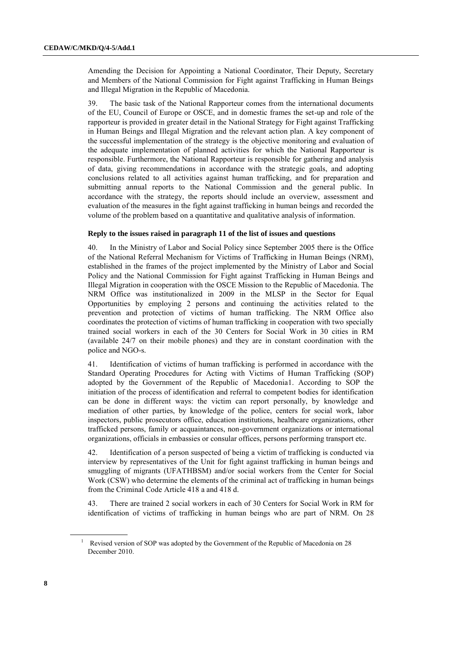Amending the Decision for Appointing a National Coordinator, Their Deputy, Secretary and Members of the National Commission for Fight against Trafficking in Human Beings and Illegal Migration in the Republic of Macedonia.

39. The basic task of the National Rapporteur comes from the international documents of the EU, Council of Europe or OSCE, and in domestic frames the set-up and role of the rapporteur is provided in greater detail in the National Strategy for Fight against Trafficking in Human Beings and Illegal Migration and the relevant action plan. A key component of the successful implementation of the strategy is the objective monitoring and evaluation of the adequate implementation of planned activities for which the National Rapporteur is responsible. Furthermore, the National Rapporteur is responsible for gathering and analysis of data, giving recommendations in accordance with the strategic goals, and adopting conclusions related to all activities against human trafficking, and for preparation and submitting annual reports to the National Commission and the general public. In accordance with the strategy, the reports should include an overview, assessment and evaluation of the measures in the fight against trafficking in human beings and recorded the volume of the problem based on a quantitative and qualitative analysis of information.

### **Reply to the issues raised in paragraph 11 of the list of issues and questions**

40. In the Ministry of Labor and Social Policy since September 2005 there is the Office of the National Referral Mechanism for Victims of Trafficking in Human Beings (NRM), established in the frames of the project implemented by the Ministry of Labor and Social Policy and the National Commission for Fight against Trafficking in Human Beings and Illegal Migration in cooperation with the OSCE Mission to the Republic of Macedonia. The NRM Office was institutionalized in 2009 in the MLSP in the Sector for Equal Opportunities by employing 2 persons and continuing the activities related to the prevention and protection of victims of human trafficking. The NRM Office also coordinates the protection of victims of human trafficking in cooperation with two specially trained social workers in each of the 30 Centers for Social Work in 30 cities in RM (available 24/7 on their mobile phones) and they are in constant coordination with the police and NGO-s.

41. Identification of victims of human trafficking is performed in accordance with the Standard Operating Procedures for Acting with Victims of Human Trafficking (SOP) adopted by the Government of the Republic of Macedonia1. According to SOP the initiation of the process of identification and referral to competent bodies for identification can be done in different ways: the victim can report personally, by knowledge and mediation of other parties, by knowledge of the police, centers for social work, labor inspectors, public prosecutors office, education institutions, healthcare organizations, other trafficked persons, family or acquaintances, non-government organizations or international organizations, officials in embassies or consular offices, persons performing transport etc.

42. Identification of a person suspected of being a victim of trafficking is conducted via interview by representatives of the Unit for fight against trafficking in human beings and smuggling of migrants (UFATHBSM) and/or social workers from the Center for Social Work (CSW) who determine the elements of the criminal act of trafficking in human beings from the Criminal Code Article 418 a and 418 d.

43. There are trained 2 social workers in each of 30 Centers for Social Work in RM for identification of victims of trafficking in human beings who are part of NRM. On 28

<sup>&</sup>lt;sup>1</sup> Revised version of SOP was adopted by the Government of the Republic of Macedonia on 28 December 2010.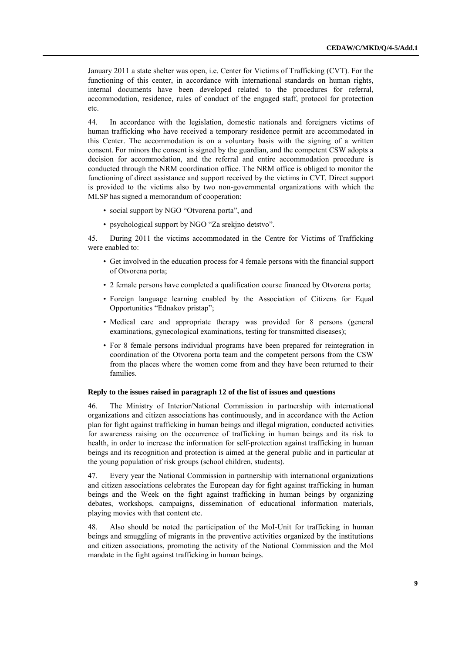January 2011 a state shelter was open, i.e. Center for Victims of Trafficking (CVT). For the functioning of this center, in accordance with international standards on human rights, internal documents have been developed related to the procedures for referral, accommodation, residence, rules of conduct of the engaged staff, protocol for protection etc.

44. In accordance with the legislation, domestic nationals and foreigners victims of human trafficking who have received a temporary residence permit are accommodated in this Center. The accommodation is on a voluntary basis with the signing of a written consent. For minors the consent is signed by the guardian, and the competent CSW adopts a decision for accommodation, and the referral and entire accommodation procedure is conducted through the NRM coordination office. The NRM office is obliged to monitor the functioning of direct assistance and support received by the victims in CVT. Direct support is provided to the victims also by two non-governmental organizations with which the MLSP has signed a memorandum of cooperation:

- social support by NGO "Otvorena porta", and
- psychological support by NGO "Za srekjno detstvo".

45. During 2011 the victims accommodated in the Centre for Victims of Trafficking were enabled to:

- Get involved in the education process for 4 female persons with the financial support of Otvorena porta;
- 2 female persons have completed a qualification course financed by Otvorena porta;
- Foreign language learning enabled by the Association of Citizens for Equal Opportunities "Ednakov pristap";
- Medical care and appropriate therapy was provided for 8 persons (general examinations, gynecological examinations, testing for transmitted diseases);
- For 8 female persons individual programs have been prepared for reintegration in coordination of the Otvorena porta team and the competent persons from the CSW from the places where the women come from and they have been returned to their families.

#### **Reply to the issues raised in paragraph 12 of the list of issues and questions**

46. The Ministry of Interior/National Commission in partnership with international organizations and citizen associations has continuously, and in accordance with the Action plan for fight against trafficking in human beings and illegal migration, conducted activities for awareness raising on the occurrence of trafficking in human beings and its risk to health, in order to increase the information for self-protection against trafficking in human beings and its recognition and protection is aimed at the general public and in particular at the young population of risk groups (school children, students).

47. Every year the National Commission in partnership with international organizations and citizen associations celebrates the European day for fight against trafficking in human beings and the Week on the fight against trafficking in human beings by organizing debates, workshops, campaigns, dissemination of educational information materials, playing movies with that content etc.

48. Also should be noted the participation of the MoI-Unit for trafficking in human beings and smuggling of migrants in the preventive activities organized by the institutions and citizen associations, promoting the activity of the National Commission and the MoI mandate in the fight against trafficking in human beings.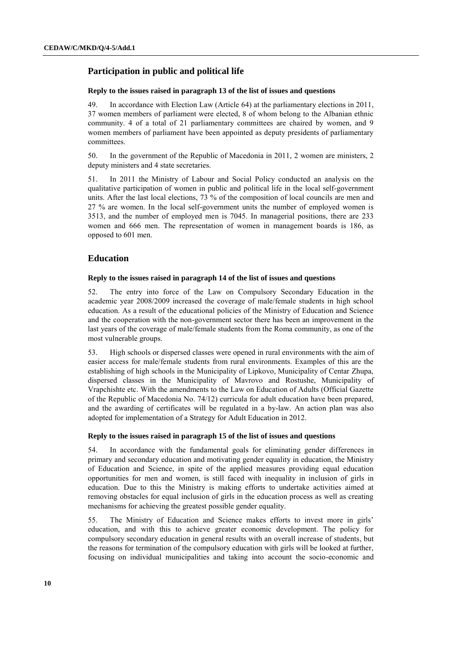# **Participation in public and political life**

#### **Reply to the issues raised in paragraph 13 of the list of issues and questions**

49. In accordance with Election Law (Article 64) at the parliamentary elections in 2011, 37 women members of parliament were elected, 8 of whom belong to the Albanian ethnic community. 4 of a total of 21 parliamentary committees are chaired by women, and 9 women members of parliament have been appointed as deputy presidents of parliamentary committees.

50. In the government of the Republic of Macedonia in 2011, 2 women are ministers, 2 deputy ministers and 4 state secretaries.

51. In 2011 the Ministry of Labour and Social Policy conducted an analysis on the qualitative participation of women in public and political life in the local self-government units. After the last local elections, 73 % of the composition of local councils are men and 27 % are women. In the local self-government units the number of employed women is 3513, and the number of employed men is 7045. In managerial positions, there are 233 women and 666 men. The representation of women in management boards is 186, as opposed to 601 men.

# **Education**

#### **Reply to the issues raised in paragraph 14 of the list of issues and questions**

52. The entry into force of the Law on Compulsory Secondary Education in the academic year 2008/2009 increased the coverage of male/female students in high school education. As a result of the educational policies of the Ministry of Education and Science and the cooperation with the non-government sector there has been an improvement in the last years of the coverage of male/female students from the Roma community, as one of the most vulnerable groups.

53. High schools or dispersed classes were opened in rural environments with the aim of easier access for male/female students from rural environments. Examples of this are the establishing of high schools in the Municipality of Lipkovo, Municipality of Centar Zhupa, dispersed classes in the Municipality of Mavrovo and Rostushe, Municipality of Vrapchishte etc. With the amendments to the Law on Education of Adults (Official Gazette of the Republic of Macedonia No. 74/12) curricula for adult education have been prepared, and the awarding of certificates will be regulated in a by-law. An action plan was also adopted for implementation of a Strategy for Adult Education in 2012.

#### **Reply to the issues raised in paragraph 15 of the list of issues and questions**

54. In accordance with the fundamental goals for eliminating gender differences in primary and secondary education and motivating gender equality in education, the Ministry of Education and Science, in spite of the applied measures providing equal education opportunities for men and women, is still faced with inequality in inclusion of girls in education. Due to this the Ministry is making efforts to undertake activities aimed at removing obstacles for equal inclusion of girls in the education process as well as creating mechanisms for achieving the greatest possible gender equality.

55. The Ministry of Education and Science makes efforts to invest more in girls' education, and with this to achieve greater economic development. The policy for compulsory secondary education in general results with an overall increase of students, but the reasons for termination of the compulsory education with girls will be looked at further, focusing on individual municipalities and taking into account the socio-economic and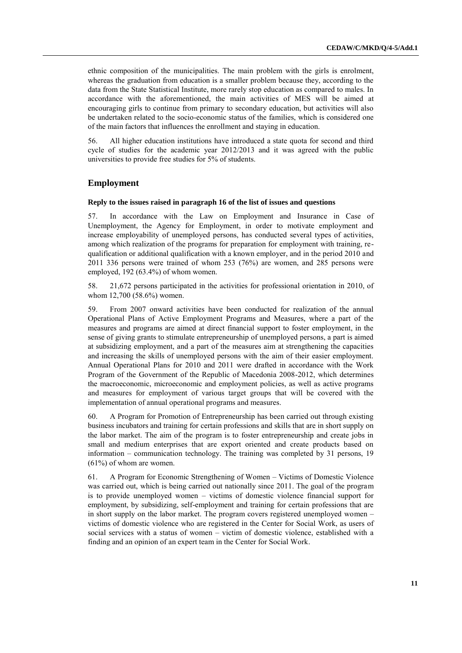ethnic composition of the municipalities. The main problem with the girls is enrolment, whereas the graduation from education is a smaller problem because they, according to the data from the State Statistical Institute, more rarely stop education as compared to males. In accordance with the aforementioned, the main activities of MES will be aimed at encouraging girls to continue from primary to secondary education, but activities will also be undertaken related to the socio-economic status of the families, which is considered one of the main factors that influences the enrollment and staying in education.

56. All higher education institutions have introduced a state quota for second and third cycle of studies for the academic year 2012/2013 and it was agreed with the public universities to provide free studies for 5% of students.

# **Employment**

#### **Reply to the issues raised in paragraph 16 of the list of issues and questions**

57. In accordance with the Law on Employment and Insurance in Case of Unemployment, the Agency for Employment, in order to motivate employment and increase employability of unemployed persons, has conducted several types of activities, among which realization of the programs for preparation for employment with training, requalification or additional qualification with a known employer, and in the period 2010 and 2011 336 persons were trained of whom 253 (76%) are women, and 285 persons were employed, 192 (63.4%) of whom women.

58. 21,672 persons participated in the activities for professional orientation in 2010, of whom 12,700 (58.6%) women.

59. From 2007 onward activities have been conducted for realization of the annual Operational Plans of Active Employment Programs and Measures, where a part of the measures and programs are aimed at direct financial support to foster employment, in the sense of giving grants to stimulate entrepreneurship of unemployed persons, a part is aimed at subsidizing employment, and a part of the measures aim at strengthening the capacities and increasing the skills of unemployed persons with the aim of their easier employment. Annual Operational Plans for 2010 and 2011 were drafted in accordance with the Work Program of the Government of the Republic of Macedonia 2008-2012, which determines the macroeconomic, microeconomic and employment policies, as well as active programs and measures for employment of various target groups that will be covered with the implementation of annual operational programs and measures.

60. A Program for Promotion of Entrepreneurship has been carried out through existing business incubators and training for certain professions and skills that are in short supply on the labor market. The aim of the program is to foster entrepreneurship and create jobs in small and medium enterprises that are export oriented and create products based on information – communication technology. The training was completed by 31 persons, 19  $(61%)$  of whom are women.

61. A Program for Economic Strengthening of Women – Victims of Domestic Violence was carried out, which is being carried out nationally since 2011. The goal of the program is to provide unemployed women – victims of domestic violence financial support for employment, by subsidizing, self-employment and training for certain professions that are in short supply on the labor market. The program covers registered unemployed women – victims of domestic violence who are registered in the Center for Social Work, as users of social services with a status of women – victim of domestic violence, established with a finding and an opinion of an expert team in the Center for Social Work.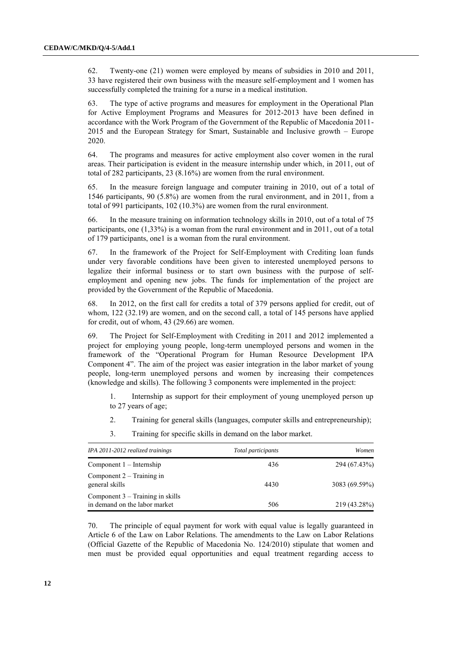62. Twenty-one (21) women were employed by means of subsidies in 2010 and 2011, 33 have registered their own business with the measure self-employment and 1 women has successfully completed the training for a nurse in a medical institution.

63. The type of active programs and measures for employment in the Operational Plan for Active Employment Programs and Measures for 2012-2013 have been defined in accordance with the Work Program of the Government of the Republic of Macedonia 2011- 2015 and the European Strategy for Smart, Sustainable and Inclusive growth – Europe 2020.

64. The programs and measures for active employment also cover women in the rural areas. Their participation is evident in the measure internship under which, in 2011, out of total of 282 participants, 23 (8.16%) are women from the rural environment.

65. In the measure foreign language and computer training in 2010, out of a total of 1546 participants, 90 (5.8%) are women from the rural environment, and in 2011, from a total of 991 participants, 102 (10.3%) are women from the rural environment.

66. In the measure training on information technology skills in 2010, out of a total of 75 participants, one (1,33%) is a woman from the rural environment and in 2011, out of a total of 179 participants, one1 is a woman from the rural environment.

67. In the framework of the Project for Self-Employment with Crediting loan funds under very favorable conditions have been given to interested unemployed persons to legalize their informal business or to start own business with the purpose of selfemployment and opening new jobs. The funds for implementation of the project are provided by the Government of the Republic of Macedonia.

68. In 2012, on the first call for credits a total of 379 persons applied for credit, out of whom, 122 (32.19) are women, and on the second call, a total of 145 persons have applied for credit, out of whom, 43 (29.66) are women.

69. The Project for Self-Employment with Crediting in 2011 and 2012 implemented a project for employing young people, long-term unemployed persons and women in the framework of the "Operational Program for Human Resource Development IPA Component 4". The aim of the project was easier integration in the labor market of young people, long-term unemployed persons and women by increasing their competences (knowledge and skills). The following 3 components were implemented in the project:

1. Internship as support for their employment of young unemployed person up to 27 years of age;

- 2. Training for general skills (languages, computer skills and entrepreneurship);
- 3. Training for specific skills in demand on the labor market.

| IPA 2011-2012 realized trainings                                    | Total participants | Women         |
|---------------------------------------------------------------------|--------------------|---------------|
| $Component 1 - Internship$                                          | 436                | 294 (67.43%)  |
| Component $2 -$ Training in<br>general skills                       | 4430               | 3083 (69.59%) |
| Component $3 -$ Training in skills<br>in demand on the labor market | 506                | 219 (43.28%)  |

70. The principle of equal payment for work with equal value is legally guaranteed in Article 6 of the Law on Labor Relations. The amendments to the Law on Labor Relations (Official Gazette of the Republic of Macedonia No. 124/2010) stipulate that women and men must be provided equal opportunities and equal treatment regarding access to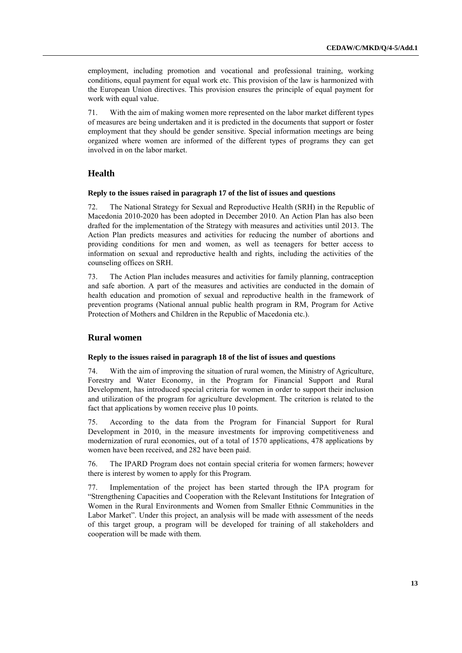employment, including promotion and vocational and professional training, working conditions, equal payment for equal work etc. This provision of the law is harmonized with the European Union directives. This provision ensures the principle of equal payment for work with equal value.

71. With the aim of making women more represented on the labor market different types of measures are being undertaken and it is predicted in the documents that support or foster employment that they should be gender sensitive. Special information meetings are being organized where women are informed of the different types of programs they can get involved in on the labor market.

# **Health**

#### **Reply to the issues raised in paragraph 17 of the list of issues and questions**

The National Strategy for Sexual and Reproductive Health (SRH) in the Republic of Macedonia 2010-2020 has been adopted in December 2010. An Action Plan has also been drafted for the implementation of the Strategy with measures and activities until 2013. The Action Plan predicts measures and activities for reducing the number of abortions and providing conditions for men and women, as well as teenagers for better access to information on sexual and reproductive health and rights, including the activities of the counseling offices on SRH.

73. The Action Plan includes measures and activities for family planning, contraception and safe abortion. A part of the measures and activities are conducted in the domain of health education and promotion of sexual and reproductive health in the framework of prevention programs (National annual public health program in RM, Program for Active Protection of Mothers and Children in the Republic of Macedonia etc.).

# **Rural women**

#### **Reply to the issues raised in paragraph 18 of the list of issues and questions**

74. With the aim of improving the situation of rural women, the Ministry of Agriculture, Forestry and Water Economy, in the Program for Financial Support and Rural Development, has introduced special criteria for women in order to support their inclusion and utilization of the program for agriculture development. The criterion is related to the fact that applications by women receive plus 10 points.

75. According to the data from the Program for Financial Support for Rural Development in 2010, in the measure investments for improving competitiveness and modernization of rural economies, out of a total of 1570 applications, 478 applications by women have been received, and 282 have been paid.

76. The IPARD Program does not contain special criteria for women farmers; however there is interest by women to apply for this Program.

77. Implementation of the project has been started through the IPA program for "Strengthening Capacities and Cooperation with the Relevant Institutions for Integration of Women in the Rural Environments and Women from Smaller Ethnic Communities in the Labor Market". Under this project, an analysis will be made with assessment of the needs of this target group, a program will be developed for training of all stakeholders and cooperation will be made with them.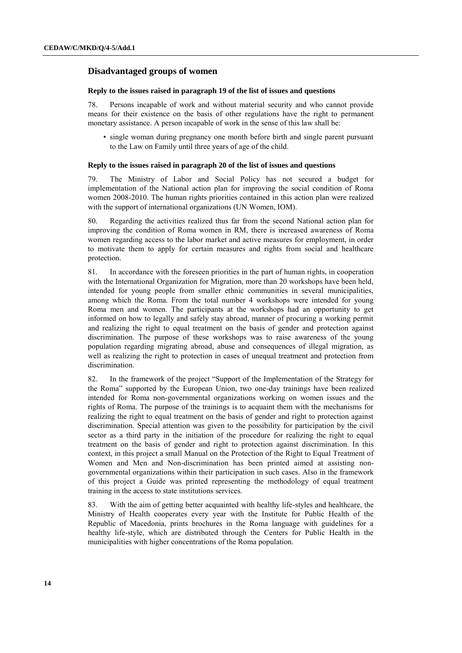# **Disadvantaged groups of women**

#### **Reply to the issues raised in paragraph 19 of the list of issues and questions**

78. Persons incapable of work and without material security and who cannot provide means for their existence on the basis of other regulations have the right to permanent monetary assistance. A person incapable of work in the sense of this law shall be:

• single woman during pregnancy one month before birth and single parent pursuant to the Law on Family until three years of age of the child.

### **Reply to the issues raised in paragraph 20 of the list of issues and questions**

79. The Ministry of Labor and Social Policy has not secured a budget for implementation of the National action plan for improving the social condition of Roma women 2008-2010. The human rights priorities contained in this action plan were realized with the support of international organizations (UN Women, IOM).

80. Regarding the activities realized thus far from the second National action plan for improving the condition of Roma women in RM, there is increased awareness of Roma women regarding access to the labor market and active measures for employment, in order to motivate them to apply for certain measures and rights from social and healthcare protection.

81. In accordance with the foreseen priorities in the part of human rights, in cooperation with the International Organization for Migration, more than 20 workshops have been held, intended for young people from smaller ethnic communities in several municipalities, among which the Roma. From the total number 4 workshops were intended for young Roma men and women. The participants at the workshops had an opportunity to get informed on how to legally and safely stay abroad, manner of procuring a working permit and realizing the right to equal treatment on the basis of gender and protection against discrimination. The purpose of these workshops was to raise awareness of the young population regarding migrating abroad, abuse and consequences of illegal migration, as well as realizing the right to protection in cases of unequal treatment and protection from discrimination.

82. In the framework of the project "Support of the Implementation of the Strategy for the Roma" supported by the European Union, two one-day trainings have been realized intended for Roma non-governmental organizations working on women issues and the rights of Roma. The purpose of the trainings is to acquaint them with the mechanisms for realizing the right to equal treatment on the basis of gender and right to protection against discrimination. Special attention was given to the possibility for participation by the civil sector as a third party in the initiation of the procedure for realizing the right to equal treatment on the basis of gender and right to protection against discrimination. In this context, in this project a small Manual on the Protection of the Right to Equal Treatment of Women and Men and Non-discrimination has been printed aimed at assisting nongovernmental organizations within their participation in such cases. Also in the framework of this project a Guide was printed representing the methodology of equal treatment training in the access to state institutions services.

83. With the aim of getting better acquainted with healthy life-styles and healthcare, the Ministry of Health cooperates every year with the Institute for Public Health of the Republic of Macedonia, prints brochures in the Roma language with guidelines for a healthy life-style, which are distributed through the Centers for Public Health in the municipalities with higher concentrations of the Roma population.